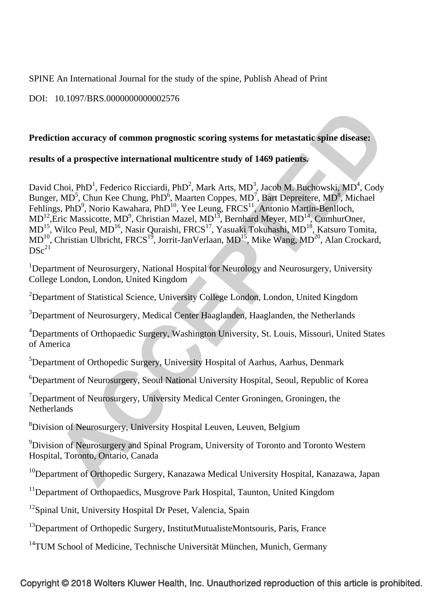SPINE An International Journal for the study of the spine, Publish Ahead of Print

DOI: 10.1097/BRS.0000000000002576

# **Prediction accuracy of common prognostic scoring systems for metastatic spine disease:**

# **results of a prospective international multicentre study of 1469 patients.**

David Choi, PhD<sup>1</sup>, Federico Ricciardi, PhD<sup>2</sup>, Mark Arts, MD<sup>3</sup>, Jacob M. Buchowski, MD<sup>4</sup>, Cody Bunger, MD<sup>5</sup>, Chun Kee Chung, PhD<sup>6</sup>, Maarten Coppes, MD<sup>7</sup>, Bart Depreitere, MD<sup>8</sup>, Michael Fehlings, PhD<sup>9</sup>, Norio Kawahara, PhD<sup>10</sup>, Yee Leung, FRCS<sup>11</sup>, Antonio Martin-Benlloch,  $MD<sup>12</sup>$ , Eric Massicotte, MD<sup>9</sup>, Christian Mazel, MD<sup>13</sup>, Bernhard Meyer, MD<sup>14</sup>, CumhurOner, MD<sup>15</sup>, Wilco Peul, MD<sup>16</sup>, Nasir Quraishi, FRCS<sup>17</sup>, Yasuaki Tokuhashi, MD<sup>18</sup>, Katsuro Tomita,  $MD<sup>10</sup>$ , Christian Ulbricht, FRCS<sup>19</sup>, Jorrit-JanVerlaan, MD<sup>15</sup>, Mike Wang, MD<sup>20</sup>, Alan Crockard,  $DSc<sup>21</sup>$ 

<sup>1</sup>Department of Neurosurgery, National Hospital for Neurology and Neurosurgery, University College London, London, United Kingdom

<sup>2</sup>Department of Statistical Science, University College London, London, United Kingdom

<sup>3</sup>Department of Neurosurgery, Medical Center Haaglanden, Haaglanden, the Netherlands

<sup>4</sup>Departments of Orthopaedic Surgery, Washington University, St. Louis, Missouri, United States of America

<sup>5</sup>Department of Orthopedic Surgery, University Hospital of Aarhus, Aarhus, Denmark

6 Department of Neurosurgery, Seoul National University Hospital, Seoul, Republic of Korea

<sup>7</sup>Department of Neurosurgery, University Medical Center Groningen, Groningen, the **Netherlands** 

<sup>8</sup> Division of Neurosurgery, University Hospital Leuven, Leuven, Belgium

<sup>9</sup> Division of Neurosurgery and Spinal Program, University of Toronto and Toronto Western Hospital, Toronto, Ontario, Canada

<sup>10</sup>Department of Orthopedic Surgery, Kanazawa Medical University Hospital, Kanazawa, Japan

<sup>11</sup>Department of Orthopaedics, Musgrove Park Hospital, Taunton, United Kingdom

<sup>12</sup>Spinal Unit, University Hospital Dr Peset, Valencia, Spain

 $13$ Department of Orthopedic Surgery, InstitutMutualisteMontsouris, Paris, France

<sup>14</sup>TUM School of Medicine, Technische Universität München, Munich, Germany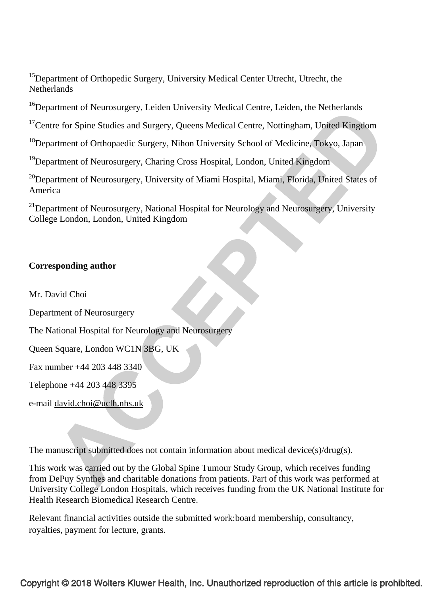<sup>15</sup>Department of Orthopedic Surgery, University Medical Center Utrecht, Utrecht, the **Netherlands** 

<sup>16</sup>Department of Neurosurgery, Leiden University Medical Centre, Leiden, the Netherlands

<sup>17</sup>Centre for Spine Studies and Surgery, Queens Medical Centre, Nottingham, United Kingdom

<sup>18</sup>Department of Orthopaedic Surgery, Nihon University School of Medicine, Tokyo, Japan

19Department of Neurosurgery, Charing Cross Hospital, London, United Kingdom

<sup>20</sup>Department of Neurosurgery, University of Miami Hospital, Miami, Florida, United States of America

<sup>21</sup>Department of Neurosurgery, National Hospital for Neurology and Neurosurgery, University College London, London, United Kingdom

## **Corresponding author**

Mr. David Choi

Department of Neurosurgery

The National Hospital for Neurology and Neurosurgery

Queen Square, London WC1N 3BG, UK

Fax number +44 203 448 3340

Telephone +44 203 448 3395

e-mail david.choi@uclh.nhs.uk

The manuscript submitted does not contain information about medical device(s)/drug(s).

This work was carried out by the Global Spine Tumour Study Group, which receives funding from DePuy Synthes and charitable donations from patients. Part of this work was performed at University College London Hospitals, which receives funding from the UK National Institute for Health Research Biomedical Research Centre.

Relevant financial activities outside the submitted work:board membership, consultancy, royalties, payment for lecture, grants.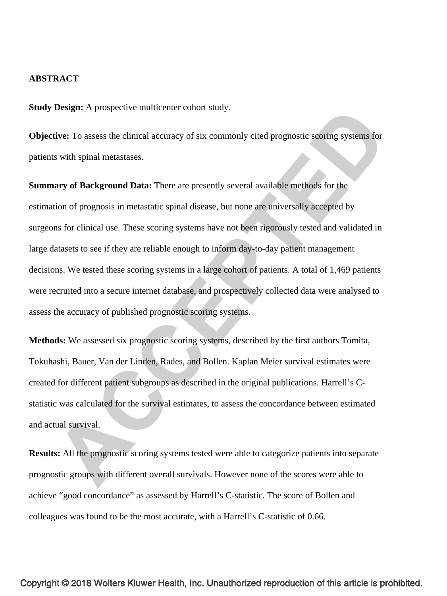#### **ABSTRACT**

**Study Design:** A prospective multicenter cohort study.

**Objective:** To assess the clinical accuracy of six commonly cited prognostic scoring systems for patients with spinal metastases.

**Summary of Background Data:** There are presently several available methods for the estimation of prognosis in metastatic spinal disease, but none are universally accepted by surgeons for clinical use. These scoring systems have not been rigorously tested and validated in large datasets to see if they are reliable enough to inform day-to-day patient management decisions. We tested these scoring systems in a large cohort of patients. A total of 1,469 patients were recruited into a secure internet database, and prospectively collected data were analysed to assess the accuracy of published prognostic scoring systems.

**Methods:** We assessed six prognostic scoring systems, described by the first authors Tomita, Tokuhashi, Bauer, Van der Linden, Rades, and Bollen. Kaplan Meier survival estimates were created for different patient subgroups as described in the original publications. Harrell's Cstatistic was calculated for the survival estimates, to assess the concordance between estimated and actual survival.

**Results:** All the prognostic scoring systems tested were able to categorize patients into separate prognostic groups with different overall survivals. However none of the scores were able to achieve "good concordance" as assessed by Harrell's C-statistic. The score of Bollen and colleagues was found to be the most accurate, with a Harrell's C-statistic of 0.66.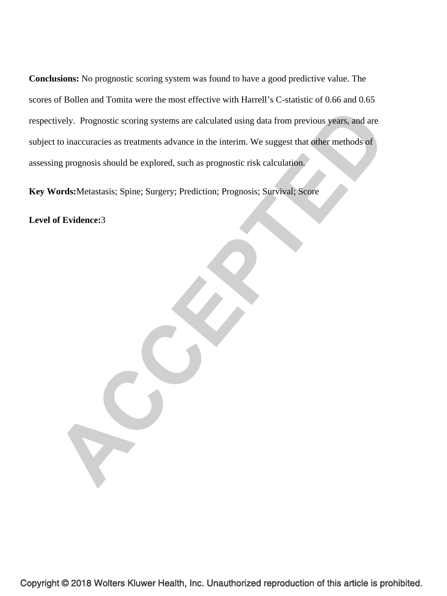**Conclusions:** No prognostic scoring system was found to have a good predictive value. The scores of Bollen and Tomita were the most effective with Harrell's C-statistic of 0.66 and 0.65 respectively. Prognostic scoring systems are calculated using data from previous years, and are subject to inaccuracies as treatments advance in the interim. We suggest that other methods of assessing prognosis should be explored, such as prognostic risk calculation.

**Key Words:**Metastasis; Spine; Surgery; Prediction; Prognosis; Survival; Score

**Level of Evidence:**3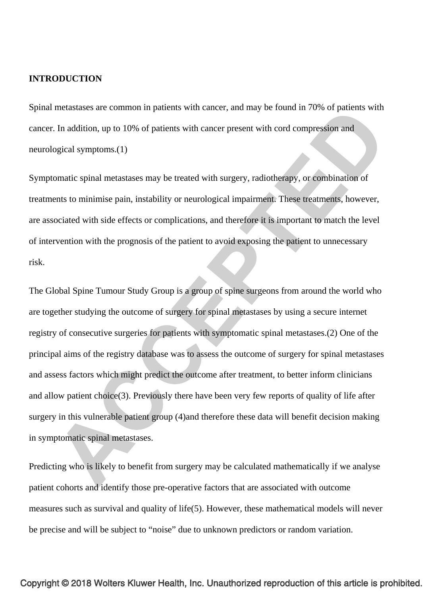#### **INTRODUCTION**

Spinal metastases are common in patients with cancer, and may be found in 70% of patients with cancer. In addition, up to 10% of patients with cancer present with cord compression and neurological symptoms.(1)

Symptomatic spinal metastases may be treated with surgery, radiotherapy, or combination of treatments to minimise pain, instability or neurological impairment. These treatments, however, are associated with side effects or complications, and therefore it is important to match the level of intervention with the prognosis of the patient to avoid exposing the patient to unnecessary risk.

The Global Spine Tumour Study Group is a group of spine surgeons from around the world who are together studying the outcome of surgery for spinal metastases by using a secure internet registry of consecutive surgeries for patients with symptomatic spinal metastases.(2) One of the principal aims of the registry database was to assess the outcome of surgery for spinal metastases and assess factors which might predict the outcome after treatment, to better inform clinicians and allow patient choice(3). Previously there have been very few reports of quality of life after surgery in this vulnerable patient group (4)and therefore these data will benefit decision making in symptomatic spinal metastases.

Predicting who is likely to benefit from surgery may be calculated mathematically if we analyse patient cohorts and identify those pre-operative factors that are associated with outcome measures such as survival and quality of life(5). However, these mathematical models will never be precise and will be subject to "noise" due to unknown predictors or random variation.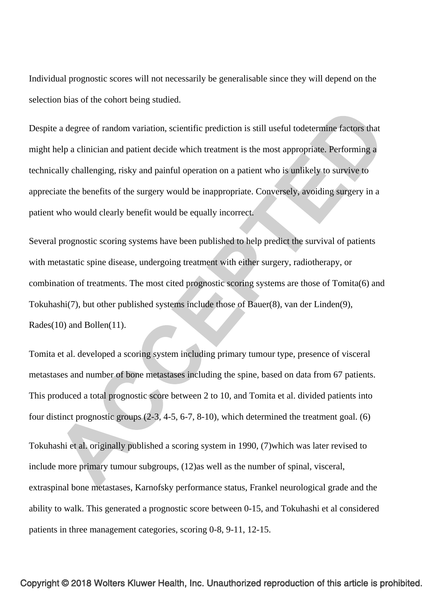Individual prognostic scores will not necessarily be generalisable since they will depend on the selection bias of the cohort being studied.

Despite a degree of random variation, scientific prediction is still useful todetermine factors that might help a clinician and patient decide which treatment is the most appropriate. Performing a technically challenging, risky and painful operation on a patient who is unlikely to survive to appreciate the benefits of the surgery would be inappropriate. Conversely, avoiding surgery in a patient who would clearly benefit would be equally incorrect.

Several prognostic scoring systems have been published to help predict the survival of patients with metastatic spine disease, undergoing treatment with either surgery, radiotherapy, or combination of treatments. The most cited prognostic scoring systems are those of Tomita(6) and Tokuhashi(7), but other published systems include those of Bauer(8), van der Linden(9), Rades(10) and Bollen(11).

Tomita et al. developed a scoring system including primary tumour type, presence of visceral metastases and number of bone metastases including the spine, based on data from 67 patients. This produced a total prognostic score between 2 to 10, and Tomita et al. divided patients into four distinct prognostic groups (2-3, 4-5, 6-7, 8-10), which determined the treatment goal. (6)

Tokuhashi et al. originally published a scoring system in 1990, (7)which was later revised to include more primary tumour subgroups, (12)as well as the number of spinal, visceral, extraspinal bone metastases, Karnofsky performance status, Frankel neurological grade and the ability to walk. This generated a prognostic score between 0-15, and Tokuhashi et al considered patients in three management categories, scoring 0-8, 9-11, 12-15.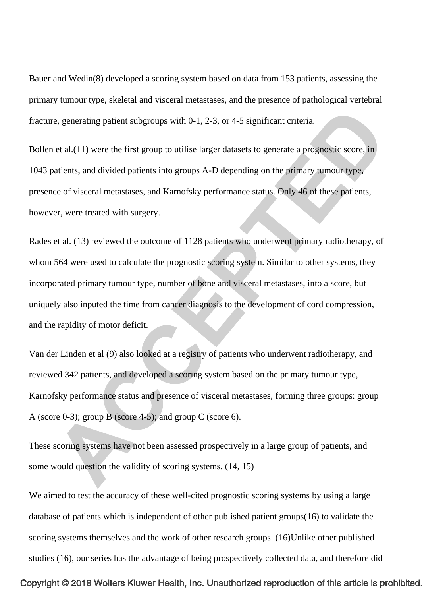Bauer and Wedin(8) developed a scoring system based on data from 153 patients, assessing the primary tumour type, skeletal and visceral metastases, and the presence of pathological vertebral fracture, generating patient subgroups with 0-1, 2-3, or 4-5 significant criteria.

Bollen et al.(11) were the first group to utilise larger datasets to generate a prognostic score, in 1043 patients, and divided patients into groups A-D depending on the primary tumour type, presence of visceral metastases, and Karnofsky performance status. Only 46 of these patients, however, were treated with surgery.

Rades et al. (13) reviewed the outcome of 1128 patients who underwent primary radiotherapy, of whom 564 were used to calculate the prognostic scoring system. Similar to other systems, they incorporated primary tumour type, number of bone and visceral metastases, into a score, but uniquely also inputed the time from cancer diagnosis to the development of cord compression, and the rapidity of motor deficit.

Van der Linden et al (9) also looked at a registry of patients who underwent radiotherapy, and reviewed 342 patients, and developed a scoring system based on the primary tumour type, Karnofsky performance status and presence of visceral metastases, forming three groups: group A (score 0-3); group B (score 4-5); and group C (score 6).

These scoring systems have not been assessed prospectively in a large group of patients, and some would question the validity of scoring systems. (14, 15)

We aimed to test the accuracy of these well-cited prognostic scoring systems by using a large database of patients which is independent of other published patient groups(16) to validate the scoring systems themselves and the work of other research groups. (16)Unlike other published studies (16), our series has the advantage of being prospectively collected data, and therefore did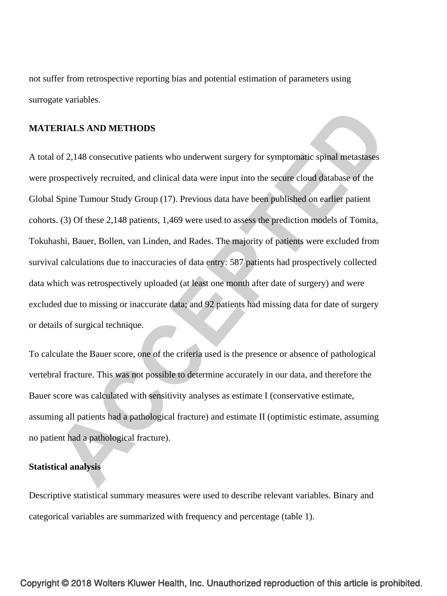not suffer from retrospective reporting bias and potential estimation of parameters using surrogate variables.

#### **MATERIALS AND METHODS**

A total of 2,148 consecutive patients who underwent surgery for symptomatic spinal metastases were prospectively recruited, and clinical data were input into the secure cloud database of the Global Spine Tumour Study Group (17). Previous data have been published on earlier patient cohorts. (3) Of these 2,148 patients, 1,469 were used to assess the prediction models of Tomita, Tokuhashi, Bauer, Bollen, van Linden, and Rades. The majority of patients were excluded from survival calculations due to inaccuracies of data entry: 587 patients had prospectively collected data which was retrospectively uploaded (at least one month after date of surgery) and were excluded due to missing or inaccurate data; and 92 patients had missing data for date of surgery or details of surgical technique.

To calculate the Bauer score, one of the criteria used is the presence or absence of pathological vertebral fracture. This was not possible to determine accurately in our data, and therefore the Bauer score was calculated with sensitivity analyses as estimate I (conservative estimate, assuming all patients had a pathological fracture) and estimate II (optimistic estimate, assuming no patient had a pathological fracture).

#### **Statistical analysis**

Descriptive statistical summary measures were used to describe relevant variables. Binary and categorical variables are summarized with frequency and percentage (table 1).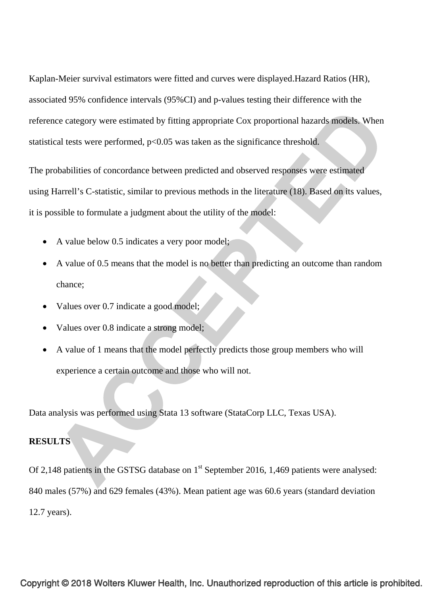Kaplan-Meier survival estimators were fitted and curves were displayed.Hazard Ratios (HR), associated 95% confidence intervals (95%CI) and p-values testing their difference with the reference category were estimated by fitting appropriate Cox proportional hazards models. When statistical tests were performed,  $p<0.05$  was taken as the significance threshold.

The probabilities of concordance between predicted and observed responses were estimated using Harrell's C-statistic, similar to previous methods in the literature (18). Based on its values, it is possible to formulate a judgment about the utility of the model:

- A value below 0.5 indicates a very poor model;
- A value of 0.5 means that the model is no better than predicting an outcome than random chance;
- Values over 0.7 indicate a good model;
- Values over 0.8 indicate a strong model;
- A value of 1 means that the model perfectly predicts those group members who will experience a certain outcome and those who will not.

Data analysis was performed using Stata 13 software (StataCorp LLC, Texas USA).

## **RESULTS**

Of 2,148 patients in the GSTSG database on 1<sup>st</sup> September 2016, 1,469 patients were analysed: 840 males (57%) and 629 females (43%). Mean patient age was 60.6 years (standard deviation 12.7 years).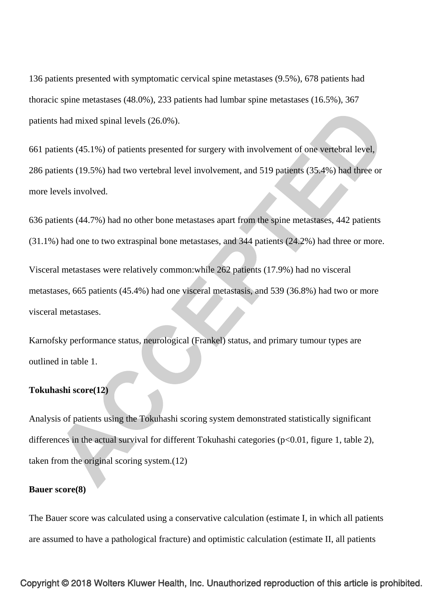136 patients presented with symptomatic cervical spine metastases (9.5%), 678 patients had thoracic spine metastases (48.0%), 233 patients had lumbar spine metastases (16.5%), 367 patients had mixed spinal levels (26.0%).

661 patients (45.1%) of patients presented for surgery with involvement of one vertebral level, 286 patients (19.5%) had two vertebral level involvement, and 519 patients (35.4%) had three or more levels involved.

636 patients (44.7%) had no other bone metastases apart from the spine metastases, 442 patients (31.1%) had one to two extraspinal bone metastases, and 344 patients (24.2%) had three or more.

Visceral metastases were relatively common:while 262 patients (17.9%) had no visceral metastases, 665 patients (45.4%) had one visceral metastasis, and 539 (36.8%) had two or more visceral metastases.

Karnofsky performance status, neurological (Frankel) status, and primary tumour types are outlined in table 1.

#### **Tokuhashi score(12)**

Analysis of patients using the Tokuhashi scoring system demonstrated statistically significant differences in the actual survival for different Tokuhashi categories (p<0.01, figure 1, table 2), taken from the original scoring system.(12)

#### **Bauer score(8)**

The Bauer score was calculated using a conservative calculation (estimate I, in which all patients are assumed to have a pathological fracture) and optimistic calculation (estimate II, all patients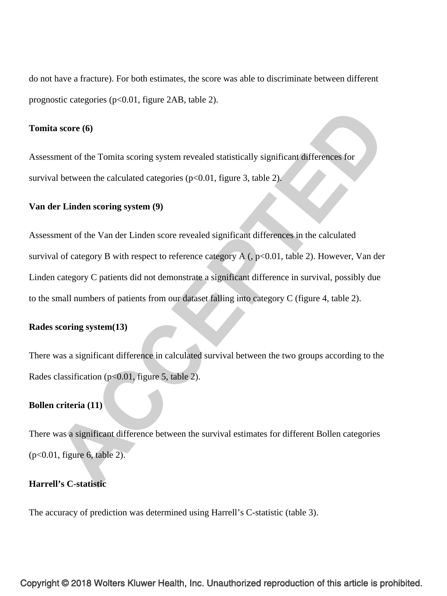do not have a fracture). For both estimates, the score was able to discriminate between different prognostic categories (p<0.01, figure 2AB, table 2).

#### **Tomita score (6)**

Assessment of the Tomita scoring system revealed statistically significant differences for survival between the calculated categories  $(p<0.01$ , figure 3, table 2).

## **Van der Linden scoring system (9)**

Assessment of the Van der Linden score revealed significant differences in the calculated survival of category B with respect to reference category  $A$  (,  $p<0.01$ , table 2). However, Van der Linden category C patients did not demonstrate a significant difference in survival, possibly due to the small numbers of patients from our dataset falling into category C (figure 4, table 2).

#### **Rades scoring system(13)**

There was a significant difference in calculated survival between the two groups according to the Rades classification (p<0.01, figure 5, table 2).

# **Bollen criteria (11)**

There was a significant difference between the survival estimates for different Bollen categories (p<0.01, figure 6, table 2).

### **Harrell's C-statistic**

The accuracy of prediction was determined using Harrell's C-statistic (table 3).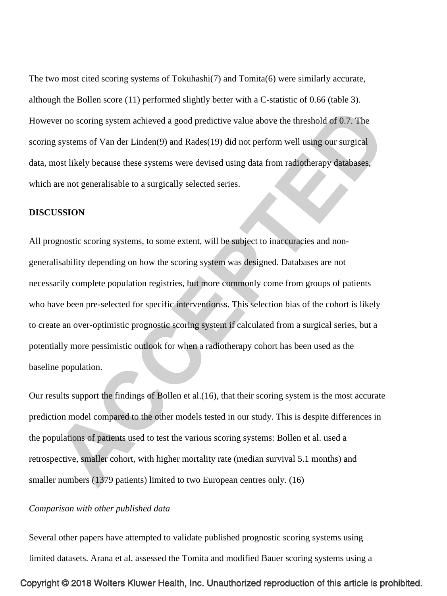The two most cited scoring systems of Tokuhashi(7) and Tomita(6) were similarly accurate, although the Bollen score (11) performed slightly better with a C-statistic of 0.66 (table 3). However no scoring system achieved a good predictive value above the threshold of 0.7. The scoring systems of Van der Linden(9) and Rades(19) did not perform well using our surgical data, most likely because these systems were devised using data from radiotherapy databases, which are not generalisable to a surgically selected series.

#### **DISCUSSION**

All prognostic scoring systems, to some extent, will be subject to inaccuracies and nongeneralisability depending on how the scoring system was designed. Databases are not necessarily complete population registries, but more commonly come from groups of patients who have been pre-selected for specific interventionss. This selection bias of the cohort is likely to create an over-optimistic prognostic scoring system if calculated from a surgical series, but a potentially more pessimistic outlook for when a radiotherapy cohort has been used as the baseline population.

Our results support the findings of Bollen et al.(16), that their scoring system is the most accurate prediction model compared to the other models tested in our study. This is despite differences in the populations of patients used to test the various scoring systems: Bollen et al. used a retrospective, smaller cohort, with higher mortality rate (median survival 5.1 months) and smaller numbers (1379 patients) limited to two European centres only. (16)

#### *Comparison with other published data*

Several other papers have attempted to validate published prognostic scoring systems using limited datasets. Arana et al. assessed the Tomita and modified Bauer scoring systems using a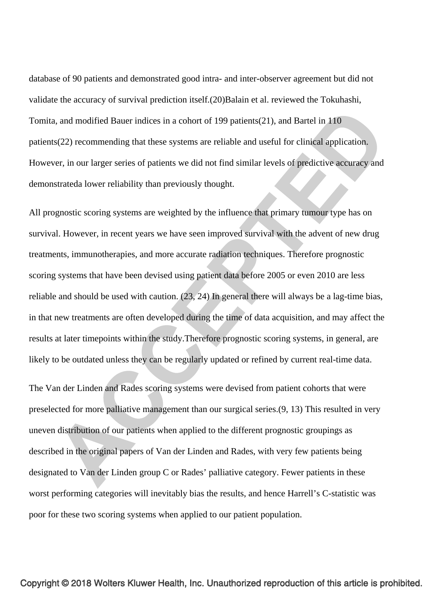database of 90 patients and demonstrated good intra- and inter-observer agreement but did not validate the accuracy of survival prediction itself.(20)Balain et al. reviewed the Tokuhashi, Tomita, and modified Bauer indices in a cohort of 199 patients(21), and Bartel in 110 patients(22) recommending that these systems are reliable and useful for clinical application. However, in our larger series of patients we did not find similar levels of predictive accuracy and demonstrateda lower reliability than previously thought.

All prognostic scoring systems are weighted by the influence that primary tumour type has on survival. However, in recent years we have seen improved survival with the advent of new drug treatments, immunotherapies, and more accurate radiation techniques. Therefore prognostic scoring systems that have been devised using patient data before 2005 or even 2010 are less reliable and should be used with caution. (23, 24) In general there will always be a lag-time bias, in that new treatments are often developed during the time of data acquisition, and may affect the results at later timepoints within the study.Therefore prognostic scoring systems, in general, are likely to be outdated unless they can be regularly updated or refined by current real-time data.

The Van der Linden and Rades scoring systems were devised from patient cohorts that were preselected for more palliative management than our surgical series.(9, 13) This resulted in very uneven distribution of our patients when applied to the different prognostic groupings as described in the original papers of Van der Linden and Rades, with very few patients being designated to Van der Linden group C or Rades' palliative category. Fewer patients in these worst performing categories will inevitably bias the results, and hence Harrell's C-statistic was poor for these two scoring systems when applied to our patient population.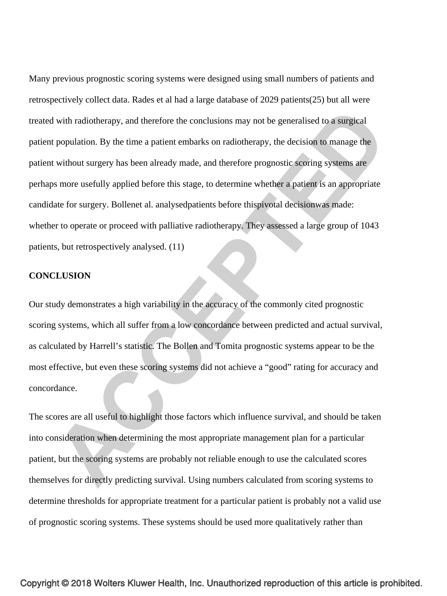Many previous prognostic scoring systems were designed using small numbers of patients and retrospectively collect data. Rades et al had a large database of 2029 patients(25) but all were treated with radiotherapy, and therefore the conclusions may not be generalised to a surgical patient population. By the time a patient embarks on radiotherapy, the decision to manage the patient without surgery has been already made, and therefore prognostic scoring systems are perhaps more usefully applied before this stage, to determine whether a patient is an appropriate candidate for surgery. Bollenet al. analysedpatients before thispivotal decisionwas made: whether to operate or proceed with palliative radiotherapy. They assessed a large group of 1043 patients, but retrospectively analysed. (11)

#### **CONCLUSION**

Our study demonstrates a high variability in the accuracy of the commonly cited prognostic scoring systems, which all suffer from a low concordance between predicted and actual survival, as calculated by Harrell's statistic. The Bollen and Tomita prognostic systems appear to be the most effective, but even these scoring systems did not achieve a "good" rating for accuracy and concordance.

The scores are all useful to highlight those factors which influence survival, and should be taken into consideration when determining the most appropriate management plan for a particular patient, but the scoring systems are probably not reliable enough to use the calculated scores themselves for directly predicting survival. Using numbers calculated from scoring systems to determine thresholds for appropriate treatment for a particular patient is probably not a valid use of prognostic scoring systems. These systems should be used more qualitatively rather than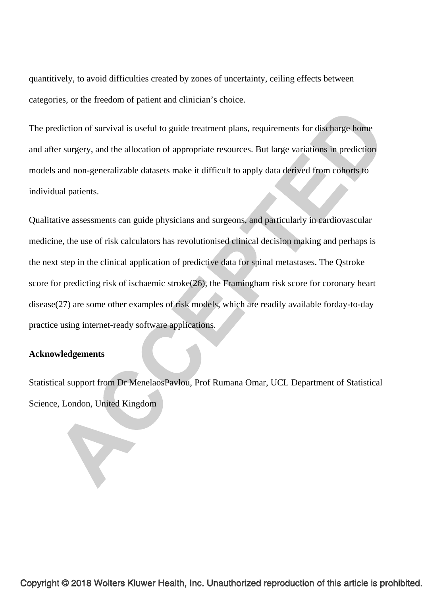quantitively, to avoid difficulties created by zones of uncertainty, ceiling effects between categories, or the freedom of patient and clinician's choice.

The prediction of survival is useful to guide treatment plans, requirements for discharge home and after surgery, and the allocation of appropriate resources. But large variations in prediction models and non-generalizable datasets make it difficult to apply data derived from cohorts to individual patients.

Qualitative assessments can guide physicians and surgeons, and particularly in cardiovascular medicine, the use of risk calculators has revolutionised clinical decision making and perhaps is the next step in the clinical application of predictive data for spinal metastases. The Qstroke score for predicting risk of ischaemic stroke(26), the Framingham risk score for coronary heart disease(27) are some other examples of risk models, which are readily available forday-to-day practice using internet-ready software applications.

## **Acknowledgements**

Statistical support from Dr MenelaosPavlou, Prof Rumana Omar, UCL Department of Statistical Science, London, United Kingdom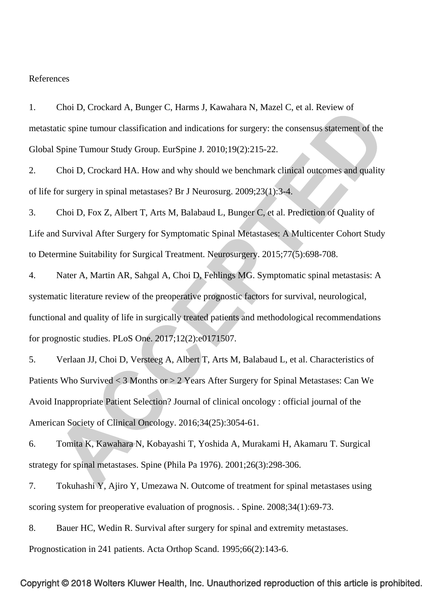#### References

1. Choi D, Crockard A, Bunger C, Harms J, Kawahara N, Mazel C, et al. Review of metastatic spine tumour classification and indications for surgery: the consensus statement of the Global Spine Tumour Study Group. EurSpine J. 2010;19(2):215-22.

2. Choi D, Crockard HA. How and why should we benchmark clinical outcomes and quality of life for surgery in spinal metastases? Br J Neurosurg. 2009;23(1):3-4.

3. Choi D, Fox Z, Albert T, Arts M, Balabaud L, Bunger C, et al. Prediction of Quality of Life and Survival After Surgery for Symptomatic Spinal Metastases: A Multicenter Cohort Study to Determine Suitability for Surgical Treatment. Neurosurgery. 2015;77(5):698-708.

4. Nater A, Martin AR, Sahgal A, Choi D, Fehlings MG. Symptomatic spinal metastasis: A systematic literature review of the preoperative prognostic factors for survival, neurological, functional and quality of life in surgically treated patients and methodological recommendations for prognostic studies. PLoS One. 2017;12(2):e0171507.

5. Verlaan JJ, Choi D, Versteeg A, Albert T, Arts M, Balabaud L, et al. Characteristics of Patients Who Survived < 3 Months or > 2 Years After Surgery for Spinal Metastases: Can We Avoid Inappropriate Patient Selection? Journal of clinical oncology : official journal of the American Society of Clinical Oncology. 2016;34(25):3054-61.

6. Tomita K, Kawahara N, Kobayashi T, Yoshida A, Murakami H, Akamaru T. Surgical strategy for spinal metastases. Spine (Phila Pa 1976). 2001;26(3):298-306.

7. Tokuhashi Y, Ajiro Y, Umezawa N. Outcome of treatment for spinal metastases using scoring system for preoperative evaluation of prognosis. . Spine. 2008;34(1):69-73.

8. Bauer HC, Wedin R. Survival after surgery for spinal and extremity metastases. Prognostication in 241 patients. Acta Orthop Scand. 1995;66(2):143-6.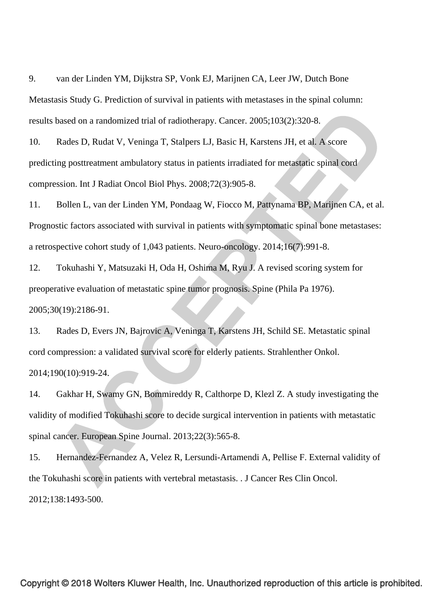9. van der Linden YM, Dijkstra SP, Vonk EJ, Marijnen CA, Leer JW, Dutch Bone Metastasis Study G. Prediction of survival in patients with metastases in the spinal column: results based on a randomized trial of radiotherapy. Cancer. 2005;103(2):320-8.

10. Rades D, Rudat V, Veninga T, Stalpers LJ, Basic H, Karstens JH, et al. A score predicting posttreatment ambulatory status in patients irradiated for metastatic spinal cord compression. Int J Radiat Oncol Biol Phys. 2008;72(3):905-8.

11. Bollen L, van der Linden YM, Pondaag W, Fiocco M, Pattynama BP, Marijnen CA, et al. Prognostic factors associated with survival in patients with symptomatic spinal bone metastases: a retrospective cohort study of 1,043 patients. Neuro-oncology. 2014;16(7):991-8.

12. Tokuhashi Y, Matsuzaki H, Oda H, Oshima M, Ryu J. A revised scoring system for preoperative evaluation of metastatic spine tumor prognosis. Spine (Phila Pa 1976). 2005;30(19):2186-91.

13. Rades D, Evers JN, Bajrovic A, Veninga T, Karstens JH, Schild SE. Metastatic spinal cord compression: a validated survival score for elderly patients. Strahlenther Onkol. 2014;190(10):919-24.

14. Gakhar H, Swamy GN, Bommireddy R, Calthorpe D, Klezl Z. A study investigating the validity of modified Tokuhashi score to decide surgical intervention in patients with metastatic spinal cancer. European Spine Journal. 2013;22(3):565-8.

15. Hernandez-Fernandez A, Velez R, Lersundi-Artamendi A, Pellise F. External validity of the Tokuhashi score in patients with vertebral metastasis. . J Cancer Res Clin Oncol. 2012;138:1493-500.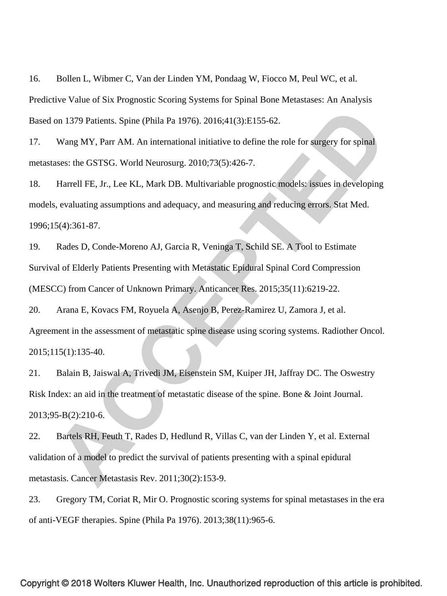16. Bollen L, Wibmer C, Van der Linden YM, Pondaag W, Fiocco M, Peul WC, et al. Predictive Value of Six Prognostic Scoring Systems for Spinal Bone Metastases: An Analysis Based on 1379 Patients. Spine (Phila Pa 1976). 2016;41(3):E155-62.

17. Wang MY, Parr AM. An international initiative to define the role for surgery for spinal metastases: the GSTSG. World Neurosurg. 2010;73(5):426-7.

18. Harrell FE, Jr., Lee KL, Mark DB. Multivariable prognostic models: issues in developing models, evaluating assumptions and adequacy, and measuring and reducing errors. Stat Med. 1996;15(4):361-87.

19. Rades D, Conde-Moreno AJ, Garcia R, Veninga T, Schild SE. A Tool to Estimate Survival of Elderly Patients Presenting with Metastatic Epidural Spinal Cord Compression (MESCC) from Cancer of Unknown Primary. Anticancer Res. 2015;35(11):6219-22.

20. Arana E, Kovacs FM, Royuela A, Asenjo B, Perez-Ramirez U, Zamora J, et al. Agreement in the assessment of metastatic spine disease using scoring systems. Radiother Oncol. 2015;115(1):135-40.

21. Balain B, Jaiswal A, Trivedi JM, Eisenstein SM, Kuiper JH, Jaffray DC. The Oswestry Risk Index: an aid in the treatment of metastatic disease of the spine. Bone & Joint Journal. 2013;95-B(2):210-6.

22. Bartels RH, Feuth T, Rades D, Hedlund R, Villas C, van der Linden Y, et al. External validation of a model to predict the survival of patients presenting with a spinal epidural metastasis. Cancer Metastasis Rev. 2011;30(2):153-9.

23. Gregory TM, Coriat R, Mir O. Prognostic scoring systems for spinal metastases in the era of anti-VEGF therapies. Spine (Phila Pa 1976). 2013;38(11):965-6.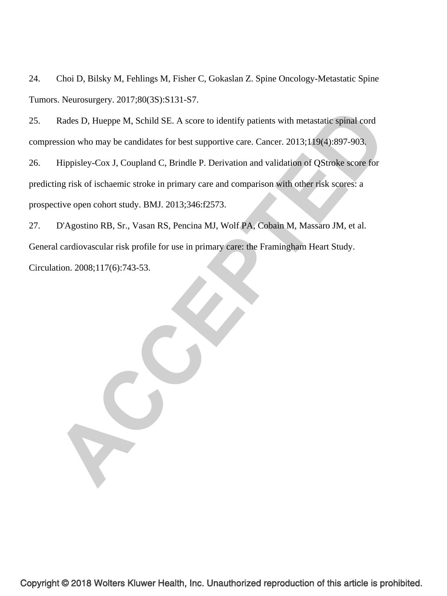24. Choi D, Bilsky M, Fehlings M, Fisher C, Gokaslan Z. Spine Oncology-Metastatic Spine Tumors. Neurosurgery. 2017;80(3S):S131-S7.

25. Rades D, Hueppe M, Schild SE. A score to identify patients with metastatic spinal cord compression who may be candidates for best supportive care. Cancer. 2013;119(4):897-903.

26. Hippisley-Cox J, Coupland C, Brindle P. Derivation and validation of QStroke score for predicting risk of ischaemic stroke in primary care and comparison with other risk scores: a prospective open cohort study. BMJ. 2013;346:f2573.

27. D'Agostino RB, Sr., Vasan RS, Pencina MJ, Wolf PA, Cobain M, Massaro JM, et al. General cardiovascular risk profile for use in primary care: the Framingham Heart Study. Circulation. 2008;117(6):743-53.

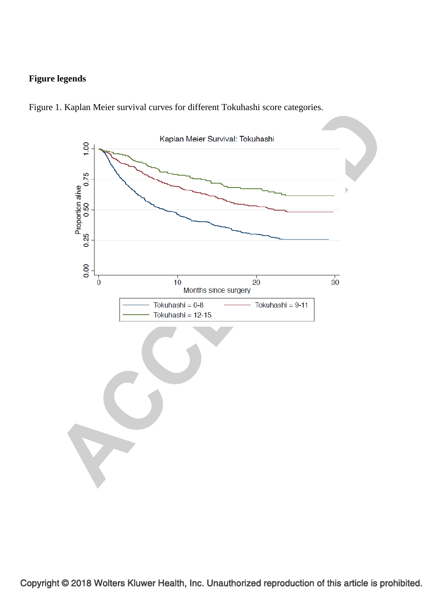# **Figure legends**



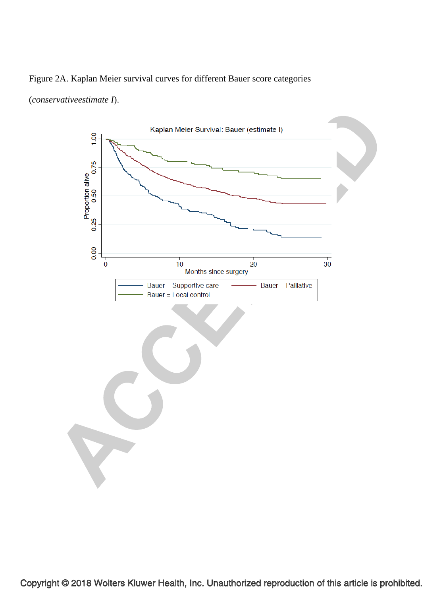

## Figure 2A. Kaplan Meier survival curves for different Bauer score categories

(*conservativeestimate I*).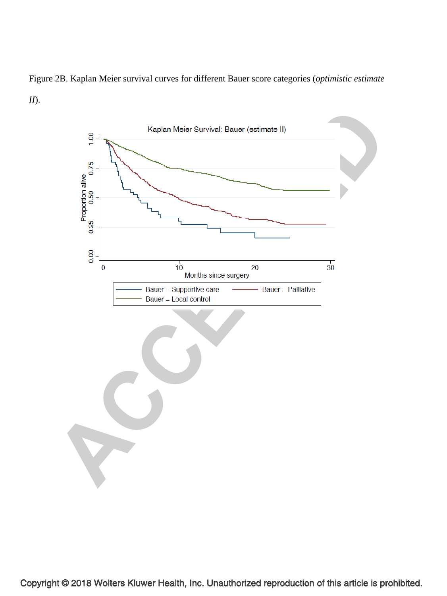

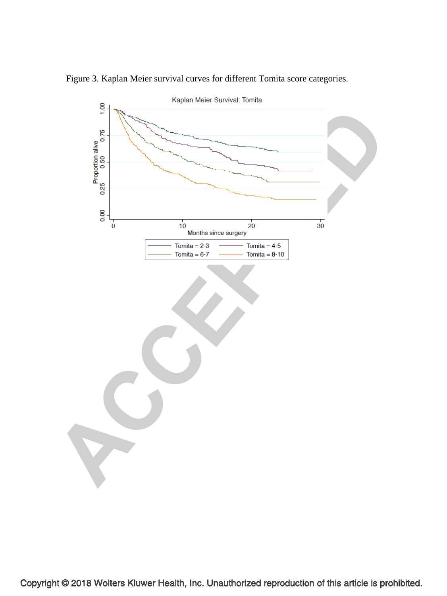

Figure 3. Kaplan Meier survival curves for different Tomita score categories.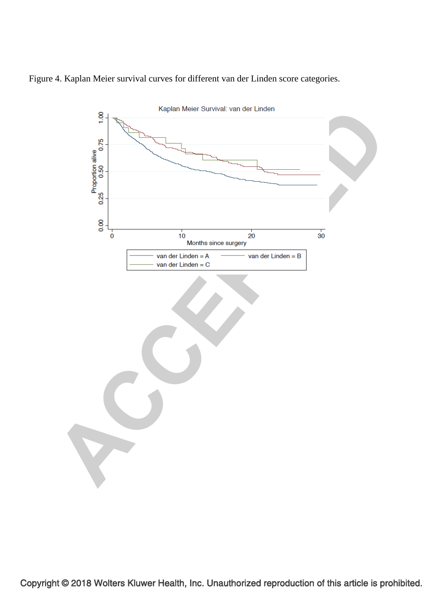

Figure 4. Kaplan Meier survival curves for different van der Linden score categories.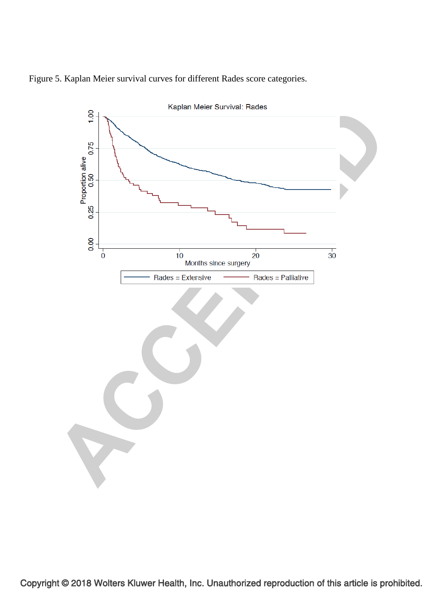

Figure 5. Kaplan Meier survival curves for different Rades score categories.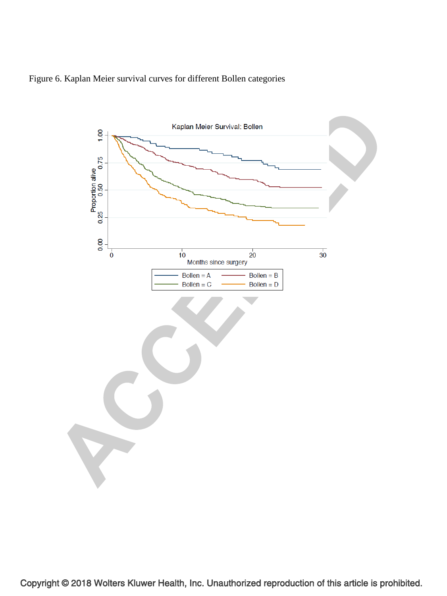

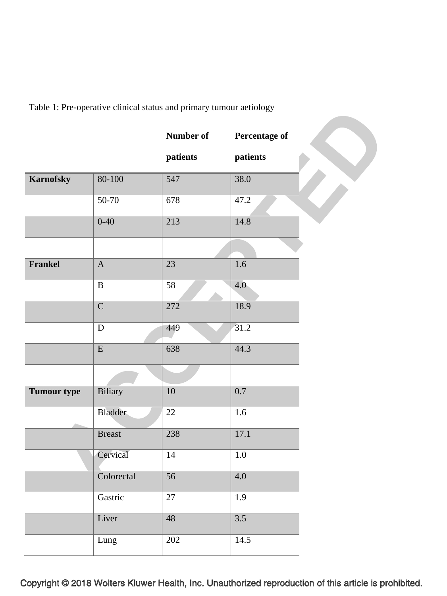Table 1: Pre-operative clinical status and primary tumour aetiology

|                    |                | <b>Number of</b> | Percentage of |
|--------------------|----------------|------------------|---------------|
|                    |                | patients         | patients      |
| <b>Karnofsky</b>   | $80 - 100$     | 547              | 38.0          |
|                    | $50 - 70$      | 678              | 47.2          |
|                    | $0 - 40$       | 213              | 14.8          |
|                    |                |                  |               |
| Frankel            | $\mathbf{A}$   | 23               | 1.6           |
|                    | $\, {\bf B}$   | 58               | 4.0           |
|                    | $\overline{C}$ | 272              | 18.9          |
|                    | D              | 449              | 31.2          |
|                    | ${\bf E}$      | 638              | 44.3          |
|                    |                |                  |               |
| <b>Tumour type</b> | Biliary        | 10               | 0.7           |
|                    | Bladder        | $22\,$           | 1.6           |
|                    | <b>Breast</b>  | 238              | 17.1          |
|                    | Cervical       | 14               | 1.0           |
|                    | Colorectal     | 56               | $4.0\,$       |
|                    | Gastric        | 27               | 1.9           |
|                    | Liver          | $\overline{48}$  | 3.5           |
|                    | Lung           | 202              | 14.5          |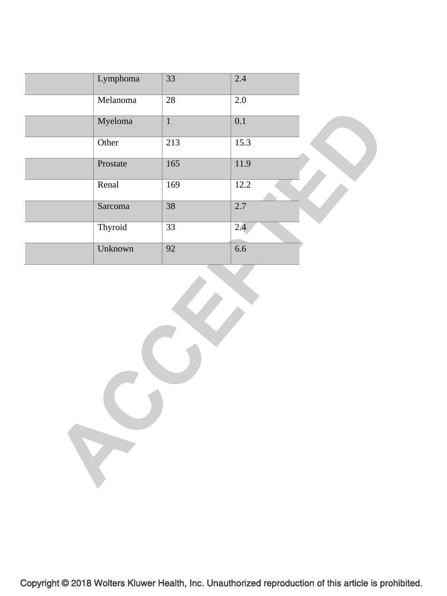| Lymphoma | 33           | 2.4  |  |
|----------|--------------|------|--|
| Melanoma | 28           | 2.0  |  |
| Myeloma  | $\mathbf{1}$ | 0.1  |  |
| Other    | 213          | 15.3 |  |
| Prostate | 165          | 11.9 |  |
| Renal    | 169          | 12.2 |  |
| Sarcoma  | 38           | 2.7  |  |
| Thyroid  | 33           | 2.4  |  |
| Unknown  | 92           | 6.6  |  |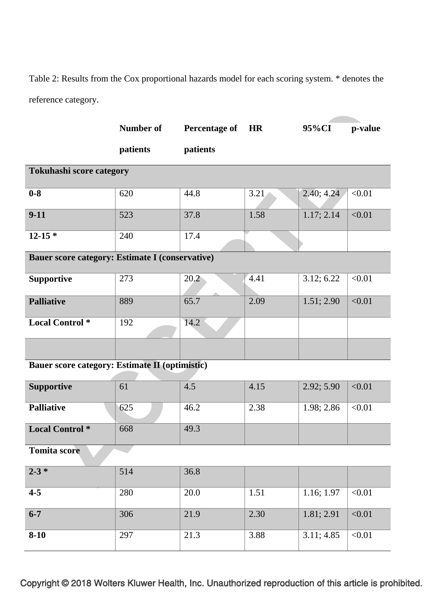Table 2: Results from the Cox proportional hazards model for each scoring system. \* denotes the reference category.

|                                                 | Number of | <b>Percentage of</b> | <b>HR</b> | 95%CI      | p-value |  |
|-------------------------------------------------|-----------|----------------------|-----------|------------|---------|--|
|                                                 | patients  | patients             |           |            |         |  |
| <b>Tokuhashi score category</b>                 |           |                      |           |            |         |  |
| $0-8$                                           | 620       | 44.8                 | 3.21      | 2.40; 4.24 | < 0.01  |  |
| $9-11$                                          | 523       | 37.8                 | 1.58      | 1.17; 2.14 | < 0.01  |  |
| $12 - 15*$                                      | 240       | 17.4                 |           |            |         |  |
| Bauer score category: Estimate I (conservative) |           |                      |           |            |         |  |
| <b>Supportive</b>                               | 273       | 20.2                 | 4.41      | 3.12; 6.22 | < 0.01  |  |
| <b>Palliative</b>                               | 889       | 65.7                 | 2.09      | 1.51; 2.90 | < 0.01  |  |
| <b>Local Control</b> *                          | 192       | 14.2                 |           |            |         |  |
|                                                 |           |                      |           |            |         |  |
| Bauer score category: Estimate II (optimistic)  |           |                      |           |            |         |  |
| <b>Supportive</b>                               | 61        | 4.5                  | 4.15      | 2.92; 5.90 | < 0.01  |  |
| <b>Palliative</b>                               | 625       | 46.2                 | 2.38      | 1.98; 2.86 | < 0.01  |  |
| <b>Local Control</b> *                          | 668       | 49.3                 |           |            |         |  |
| <b>Tomita score</b>                             |           |                      |           |            |         |  |
| $2 - 3 *$                                       | 514       | 36.8                 |           |            |         |  |
| $4 - 5$                                         | 280       | 20.0                 | 1.51      | 1.16; 1.97 | < 0.01  |  |
| $6 - 7$                                         | 306       | 21.9                 | 2.30      | 1.81; 2.91 | < 0.01  |  |
| $8 - 10$                                        | 297       | 21.3                 | 3.88      | 3.11; 4.85 | < 0.01  |  |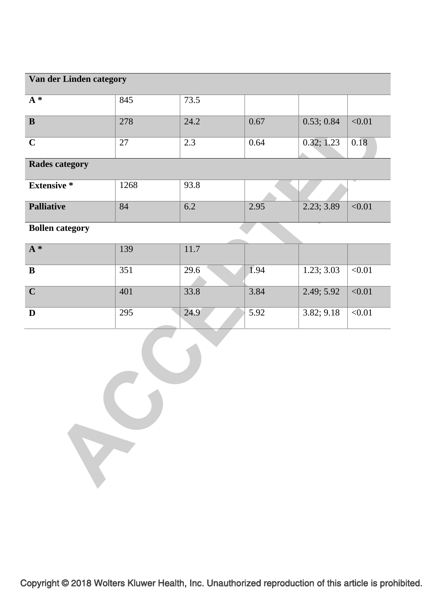# **Van der Linden category**   $A^*$  845 73.5 **B** 278 24.2 0.67 0.53; 0.84 <0.01 **C** 27 2.3 0.64 0.32; 1.23 0.18 **Rades category**

| <b>Extensive</b> *                             | 1268 | 93.8 |      |            |               |
|------------------------------------------------|------|------|------|------------|---------------|
| <b>Palliative</b>                              | 84   | 6.2  | 2.95 | 2.23; 3.89 | $<$ 0.01 $\,$ |
| $\mathbf{D}$ and $\mathbf{D}$ and $\mathbf{D}$ |      |      |      |            |               |

**Bollen category** 

| $A^*$                   | 139 | 11.7 |                   |            |         |
|-------------------------|-----|------|-------------------|------------|---------|
| $\, {\bf B}$            | 351 | 29.6 | $\overline{1.94}$ | 1.23; 3.03 | < 0.01  |
| $\overline{\mathbf{C}}$ | 401 | 33.8 | 3.84              | 2.49; 5.92 | < 0.01  |
| $\mathbf D$             | 295 | 24.9 | 5.92              | 3.82; 9.18 | $<0.01$ |
|                         |     |      |                   |            |         |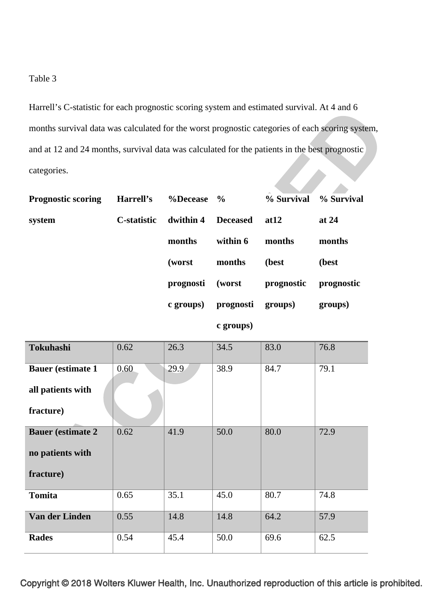# Table 3

Harrell's C-statistic for each prognostic scoring system and estimated survival. At 4 and 6 months survival data was calculated for the worst prognostic categories of each scoring system, and at 12 and 24 months, survival data was calculated for the patients in the best prognostic categories. **% Survival** 

| <b>Prognostic scoring</b> | Harrell's   | $\%$ Decease $\%$ |                   |            | % Survival % Survival |
|---------------------------|-------------|-------------------|-------------------|------------|-----------------------|
| system                    | C-statistic | dwithin 4         | <b>Deceased</b>   | at 12      | at $24$               |
|                           |             | months            | within 6          | months     | months                |
|                           |             | (worst)           | months            | (best      | (best                 |
|                           |             | prognosti         | (worst            | prognostic | prognostic            |
|                           |             | c groups)         | prognosti groups) |            | groups)               |

# **c groups)**

| <b>Tokuhashi</b>         | 0.62 | 26.3 | 34.5 | 83.0 | 76.8 |
|--------------------------|------|------|------|------|------|
| <b>Bauer</b> (estimate 1 | 0.60 | 29.9 | 38.9 | 84.7 | 79.1 |
| all patients with        |      |      |      |      |      |
| fracture)                |      |      |      |      |      |
| <b>Bauer</b> (estimate 2 | 0.62 | 41.9 | 50.0 | 80.0 | 72.9 |
| no patients with         |      |      |      |      |      |
| fracture)                |      |      |      |      |      |
| <b>Tomita</b>            | 0.65 | 35.1 | 45.0 | 80.7 | 74.8 |
| Van der Linden           | 0.55 | 14.8 | 14.8 | 64.2 | 57.9 |
| <b>Rades</b>             | 0.54 | 45.4 | 50.0 | 69.6 | 62.5 |